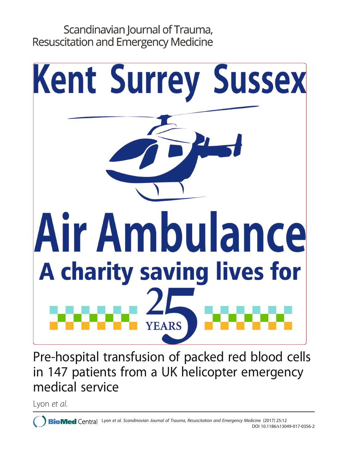# Scandinavian Journal of Trauma, **Resuscitation and Emergency Medicine**



Pre-hospital transfusion of packed red blood cells in 147 patients from a UK helicopter emergency medical service

Lyon et al.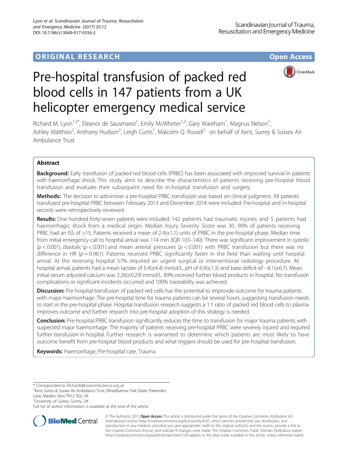# **ORIGINAL RESEARCH CONSUMING ACCESS**



# Pre-hospital transfusion of packed red blood cells in 147 patients from a UK helicopter emergency medical service

Richard M. Lyon<sup>1,3\*</sup>, Eleanor de Sausmarez<sup>1</sup>, Emily McWhirter<sup>1,3</sup>, Gary Wareham<sup>1</sup>, Magnus Nelson<sup>1</sup> , Ashley Matthies<sup>2</sup>, Anthony Hudson<sup>2</sup>, Leigh Curtis<sup>1</sup>, Malcolm Q. Russell<sup>1</sup> on behalf of Kent, Surrey & Sussex Air Ambulance Trust

# Abstract

Background: Early transfusion of packed red blood cells (PRBC) has been associated with improved survival in patients with haemorrhagic shock. This study aims to describe the characteristics of patients receiving pre-hospital blood transfusion and evaluate their subsequent need for in-hospital transfusion and surgery.

Methods: The decision to administer a pre-hospital PRBC transfusion was based on clinical judgment. All patients transfused pre-hospital PRBC between February 2013 and December 2014 were included. Pre-hospital and in-hospital records were retrospectively reviewed.

Results: One hundred forty-seven patients were included. 142 patients had traumatic injuries and 5 patients had haemorrhagic shock from a medical origin. Median Injury Severity Score was 30. 90% of patients receiving PRBC had an ISS of >15. Patients received a mean of 2.4(±1.1) units of PRBC in the pre-hospital phase. Median time from initial emergency call to hospital arrival was 114 min (IQR 103–140). There was significant improvement in systolic  $(p < 0.001)$ , diastolic (p < 0.001) and mean arterial pressures (p < 0.001) with PRBC transfusion but there was no difference in HR ( $p = 0.961$ ). Patients received PRBC significantly faster in the field than waiting until hospital arrival. At the receiving hospital 57% required an urgent surgical or interventional radiology procedure. At hospital arrival, patients had a mean lactate of 5.4(±4.4) mmol/L, pH of 6.9(±1.3) and base deficit of −8.1(±6.7). Mean initial serum adjusted calcium was 2.26(±0.29) mmol/L. 89% received further blood products in hospital. No transfusion complications or significant incidents occurred and 100% traceability was achieved.

Discussion: Pre-hospital transfusion of packed red cells has the potential to improvde outcome for trauma patients with major haemorrhage. The pre-hospital time for trauma patients can be several hours, suggesting transfusion needs to start in the pre-hospital phase. Hospital transfusion research suggests a 1:1 ratio of packed red blood cells to plasma improves outcome and further research into pre-hospital adoption of this strategy is needed.

**Conclusion:** Pre-hospital PRBC transfusion significantly reduces the time to transfusion for major trauma patients with suspected major haemorrhage. The majority of patients receiving pre-hospital PRBC were severely injured and required further transfusion in hospital. Further research is warranted to determine which patients are most likely to have outcome benefit from pre-hospital blood products and what triggers should be used for pre-hospital transfusion.

Keywords: Haemorrhage, Pre-hospital care, Trauma

\* Correspondence: [Richardl@kssairambulance.org.uk](mailto:Richardl@kssairambulance.org.uk) <sup>1</sup>

Lane, Marden, Kent TN12 9QJ, UK

<sup>3</sup>University of Surrey, Surrey, UK

Full list of author information is available at the end of the article



© The Author(s). 2017 **Open Access** This article is distributed under the terms of the Creative Commons Attribution 4.0 International License [\(http://creativecommons.org/licenses/by/4.0/](http://creativecommons.org/licenses/by/4.0/)), which permits unrestricted use, distribution, and reproduction in any medium, provided you give appropriate credit to the original author(s) and the source, provide a link to the Creative Commons license, and indicate if changes were made. The Creative Commons Public Domain Dedication waiver [\(http://creativecommons.org/publicdomain/zero/1.0/](http://creativecommons.org/publicdomain/zero/1.0/)) applies to the data made available in this article, unless otherwise stated.

<sup>&</sup>lt;sup>1</sup> Kent, Surrey & Sussex Air Ambulance Trust, Wheelbarrow Park Estate, Pattenden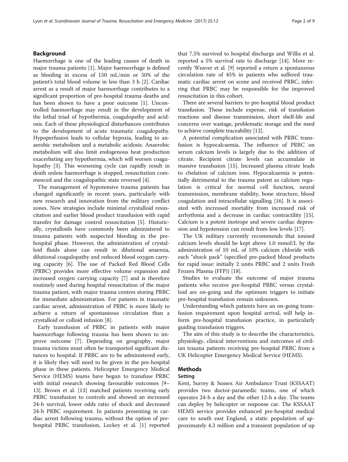# Background

Haemorrhage is one of the leading causes of death in major trauma patients [[1\]](#page-8-0). Major haemorrhage is defined as bleeding in excess of 150 mL/min or 50% of the patient's total blood volume in less than 3 h [[2\]](#page-8-0). Cardiac arrest as a result of major haemorrhage contributes to a significant proportion of pre-hospital trauma deaths and has been shown to have a poor outcome [\[1](#page-8-0)]. Uncontrolled haemorrhage may result in the development of the lethal triad of hypothermia, coagulopathy and acidosis. Each of these physiological disturbances contributes to the development of acute traumatic coagulopathy. Hypoperfusion leads to cellular hypoxia, leading to anaerobic metabolism and a metabolic acidosis. Anaerobic metabolism will also limit endogenous heat production exacerbating any hypothermia, which will worsen coagulopathy [[3\]](#page-8-0). This worsening cycle can rapidly result in death unless haemorrhage is stopped, resuscitation commenced and the coagulopathic state reversed [\[4](#page-8-0)].

The management of hypotensive trauma patients has changed significantly in recent years, particularly with new research and innovation from the military conflict zones. New strategies include minimal crystalloid resuscitation and earlier blood product transfusion with rapid transfer for damage control resuscitation [\[5](#page-8-0)]. Historically, crystalloids have commonly been administered to trauma patients with suspected bleeding in the prehospital phase. However, the administration of crystalloid fluids alone can result in dilutional anaemia, dilutional coagulopathy and reduced blood oxygen carrying capacity [\[6](#page-8-0)]. The use of Packed Red Blood Cells (PRBC) provides more effective volume expansion and increased oxygen carrying capacity [[7\]](#page-8-0) and is therefore routinely used during hospital resuscitation of the major trauma patient, with major trauma centres storing PRBC for immediate administration. For patients in traumatic cardiac arrest, administration of PRBC is more likely to achieve a return of spontaneous circulation than a crystalloid or colloid infusion [[8\]](#page-8-0).

Early transfusion of PRBC in patients with major haemorrhage following trauma has been shown to improve outcome [\[7](#page-8-0)]. Depending on geography, major trauma victims must often be transported significant distances to hospital. If PRBC are to be administered early, it is likely they will need to be given in the pre-hospital phase in these patients. Helicopter Emergency Medical Service (HEMS) teams have begun to transfuse PRBC with initial research showing favourable outcomes [[9](#page-8-0)– [13\]](#page-9-0). Brown et al. [\[13](#page-9-0)] matched patients receiving early PRBC transfusion to controls and showed an increased 24-h survival, lower odds ratio of shock and decreased 24-h PRBC requirement. In patients presenting in cardiac arrest following trauma, without the option of prehospital PRBC transfusion, Lockey et al. [\[1](#page-8-0)] reported that 7.5% survived to hospital discharge and Willis et al. reported a 5% survival rate to discharge [\[14](#page-9-0)]. More recently Weaver et al. [\[9](#page-8-0)] reported a return a spontaneous circulation rate of 45% in patients who suffered traumatic cardiac arrest on scene and received PRBC, inferring that PRBC may be responsible for the improved resuscitation in this cohort.

There are several barriers to pre-hospital blood product transfusion. These include expense, risk of transfusion reactions and disease transmission, short shelf-life and concerns over wastage, problematic storage and the need to achieve complete traceability [\[12](#page-9-0)].

A potential complication associated with PRBC transfusion is hypocalcaemia. The influence of PRBC on serum calcium levels is largely due to the addition of citrate. Recipient citrate levels can accumulate in massive transfusion [\[15](#page-9-0)]. Increased plasma citrate leads to chelation of calcium ions. Hypocalcaemia is potentially detrimental to the trauma patent as calcium regulation is critical for normal cell function, neural transmission, membrane stability, bone structure, blood coagulation and intracellular signalling [\[16\]](#page-9-0). It is associated with increased mortality from increased risk of arrhythmia and a decrease in cardiac contractility [\[15](#page-9-0)]. Calcium is a potent inotrope and severe cardiac depression and hypotension can result from low levels [[17\]](#page-9-0).

The UK military currently recommends that ionised calcium levels should be kept above 1.0 mmol/L by the administration of 10 mL of 10% calcium chloride with each "shock pack" (specified pre-packed blood products for rapid issue: initially 2 units PRBC and 2 units Fresh Frozen Plasma (FFP)) [[18\]](#page-9-0).

Studies to evaluate the outcome of major trauma patients who receive pre-hospital PRBC versus crystalloid are on-going and the optimum triggers to initiate pre-hospital transfusion remain unknown.

Understanding which patients have an on-going transfusion requirement upon hospital arrival, will help inform pre-hospital transfusion practice, in particularly guiding transfusion triggers.

The aim of this study is to describe the characteristics, physiology, clinical interventions and outcomes of civilian trauma patients receiving pre-hospital PRBC from a UK Helicopter Emergency Medical Service (HEMS).

# Methods

#### Setting

Kent, Surrey & Sussex Air Ambulance Trust (KSSAAT) provides two doctor-paramedic teams, one of which operates 24-h a day and the other 12-h a day. The teams can deploy by helicopter or response car. The KSSAAT HEMS service provides enhanced pre-hospital medical care to south east England, a static population of approximately 4.3 million and a transient population of up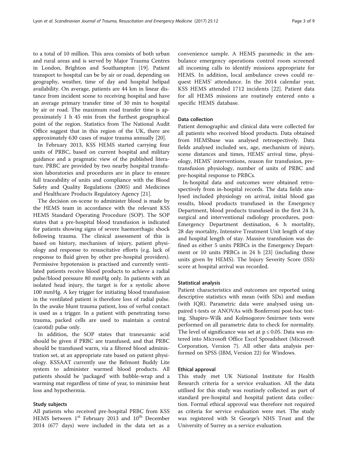to a total of 10 million. This area consists of both urban and rural areas and is served by Major Trauma Centres in London, Brighton and Southampton [\[19](#page-9-0)]. Patient transport to hospital can be by air or road, depending on geography, weather, time of day and hospital helipad availability. On average, patients are 44 km in linear distance from incident scene to receiving hospital and have an average primary transfer time of 30 min to hospital by air or road. The maximum road transfer time is approximately 1 h 45 min from the furthest geographical point of the region. Statistics from The National Audit Office suggest that in this region of the UK, there are approximately 630 cases of major trauma annually [[20](#page-9-0)].

In February 2013, KSS HEMS started carrying four units of PRBC, based on current hospital and military guidance and a pragmatic view of the published literature. PRBC are provided by two nearby hospital transfusion laboratories and procedures are in place to ensure full traceability of units and compliance with the Blood Safety and Quality Regulations (2005) and Medicines and Healthcare Products Regulatory Agency [\[21](#page-9-0)].

The decision on-scene to administer blood is made by the HEMS team in accordance with the relevant KSS HEMS Standard Operating Procedure (SOP). The SOP states that a pre-hospital blood transfusion is indicated for patients showing signs of severe haemorrhagic shock following trauma. The clinical assessment of this is based on history, mechanism of injury, patient physiology and response to resuscitative efforts (e.g. lack of response to fluid given by other pre-hospital providers). Permissive hypotension is practised and currently ventilated patients receive blood products to achieve a radial pulse/blood pressure 80 mmHg only. In patients with an isolated head injury, the target is for a systolic above 100 mmHg. A key trigger for initiating blood transfusion in the ventilated patient is therefore loss of radial pulse. In the awake blunt trauma patient, loss of verbal contact is used as a trigger. In a patient with penetrating torso trauma, packed cells are used to maintain a central (carotid) pulse only.

In addition, the SOP states that tranexamic acid should be given if PRBC are transfused, and that PRBC should be transfused warm, via a filtered blood administration set, at an appropriate rate based on patient physiology. KSSAAT currently use the Belmont Buddy Lite system to administer warmed blood products. All patients should be 'packaged' with bubble-wrap and a warming mat regardless of time of year, to minimise heat loss and hypothermia.

# Study subjects

All patients who received pre-hospital PRBC from KSS HEMS between 1<sup>st</sup> February 2013 and 10<sup>th</sup> December 2014 (677 days) were included in the data set as a convenience sample. A HEMS paramedic in the ambulance emergency operations control room screened all incoming calls to identify missions appropriate for HEMS. In addition, local ambulance crews could request HEMS' attendance. In the 2014 calendar year, KSS HEMS attended 1712 incidents [[22\]](#page-9-0). Patient data for all HEMS missions are routinely entered onto a specific HEMS database.

### Data collection

Patient demographic and clinical data were collected for all patients who received blood products. Data obtained from HEMSbase was analysed retrospectively. Data fields analysed included sex, age, mechanism of injury, scene distances and times, HEMS' arrival time, physiology, HEMS' interventions, reason for transfusion, pretransfusion physiology, number of units of PRBC and pre-hospital response to PRBCs.

In-hospital data and outcomes were obtained retrospectively from in-hospital records. The data fields analysed included physiology on arrival, initial blood gas results, blood products transfused in the Emergency Department, blood products transfused in the first 24 h, surgical and interventional radiology procedures, post-Emergency Department destination, 6 h mortality, 28 day mortality, Intensive Treatment Unit length of stay and hospital length of stay. Massive transfusion was defined as either 5 units PRBCs in the Emergency Department or 10 units PRBCs in 24 h [[23\]](#page-9-0) (including those units given by HEMS). The Injury Severity Score (ISS) score at hospital arrival was recorded.

#### Statistical analysis

Patient characteristics and outcomes are reported using descriptive statistics with mean (with SDs) and median (with IQR). Parametric data were analysed using unpaired t-tests or ANOVAs with Bonferroni post-hoc testing. Shapiro-Wilk and Kolmogorov-Smirnov tests were performed on all parametric data to check for normality. The level of significance was set at  $p \le 0.05$ . Data was entered into Microsoft Office Excel Spreadsheet (Microsoft Corporation, Version 7). All other data analysis performed on SPSS (IBM, Version 22) for Windows.

#### Ethical approval

This study met UK National Institute for Health Research criteria for a service evaluation. All the data utilised for this study was routinely collected as part of standard pre-hospital and hospital patient data collection. Formal ethical approval was therefore not required as criteria for service evaluation were met. The study was registered with St George's NHS Trust and the University of Surrey as a service evaluation.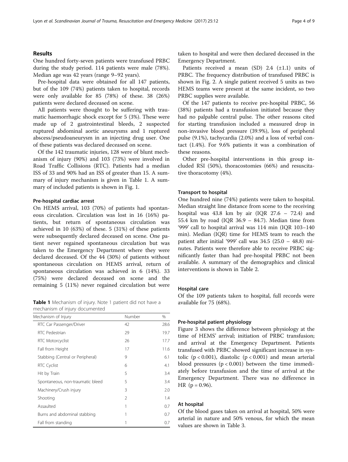# Results

One hundred forty-seven patients were transfused PRBC during the study period. 114 patients were male (78%). Median age was 42 years (range 9–92 years).

Pre-hospital data were obtained for all 147 patients, but of the 109 (74%) patients taken to hospital, records were only available for 85 (78%) of these. 38 (26%) patients were declared deceased on scene.

All patients were thought to be suffering with traumatic haemorrhagic shock except for 5 (3%). These were made up of 2 gastrointestinal bleeds, 2 suspected ruptured abdominal aortic aneurysms and 1 ruptured abscess/pseudoaneurysm in an injecting drug user. One of these patients was declared deceased on scene.

Of the 142 traumatic injuries, 128 were of blunt mechanism of injury (90%) and 103 (73%) were involved in Road Traffic Collisions (RTC). Patients had a median ISS of 33 and 90% had an ISS of greater than 15. A summary of injury mechanism is given in Table 1. A summary of included patients is shown in Fig. [1](#page-5-0).

#### Pre-hospital cardiac arrest

On HEMS arrival, 103 (70%) of patients had spontaneous circulation. Circulation was lost in 16 (16%) patients, but return of spontaneous circulation was achieved in 10 (63%) of these. 5 (31%) of these patients were subsequently declared deceased on scene. One patient never regained spontaneous circulation but was taken to the Emergency Department where they were declared deceased. Of the 44 (30%) of patients without spontaneous circulation on HEMS arrival, return of spontaneous circulation was achieved in 6 (14%). 33 (75%) were declared deceased on scene and the remaining 5 (11%) never regained circulation but were

Table 1 Mechanism of injury. Note 1 patient did not have a mechanism of injury documented

| Mechanism of Injury              | Number         | $\%$ |
|----------------------------------|----------------|------|
| RTC Car Passenger/Driver         | 42             | 28.6 |
| RTC Pedestrian                   | 29             | 19.7 |
| RTC Motorcyclist                 | 26             | 17.7 |
| Fall from Height                 | 17             | 11.6 |
| Stabbing (Central or Peripheral) | 9              | 6.1  |
| <b>RTC Cyclist</b>               | 6              | 4.1  |
| Hit by Train                     | 5              | 3.4  |
| Spontaneous, non-traumatic bleed | 5              | 3.4  |
| Machinery/Crush injury           | 3              | 2.0  |
| Shooting                         | $\mathfrak{D}$ | 1.4  |
| Assaulted                        | 1              | 0.7  |
| Burns and abdominal stabbing     | 1              | 0.7  |
| Fall from standing               | 1              | 0.7  |

taken to hospital and were then declared deceased in the Emergency Department.

Patients received a mean (SD) 2.4 (±1.1) units of PRBC. The frequency distribution of transfused PRBC is shown in Fig. [2.](#page-5-0) A single patient received 5 units as two HEMS teams were present at the same incident, so two PRBC supplies were available.

Of the 147 patients to receive pre-hospital PRBC, 56 (38%) patients had a transfusion initiated because they had no palpable central pulse. The other reasons cited for starting transfusion included a measured drop in non-invasive blood pressure (39.9%), loss of peripheral pulse (9.1%), tachycardia (2.0%) and a loss of verbal contact (1.4%). For 9.6% patients it was a combination of these reasons.

Other pre-hospital interventions in this group included RSI (50%), thoracostomies (66%) and resuscitative thoracotomy (4%).

## Transport to hospital

One hundred nine (74%) patients were taken to hospital. Median straight line distance from scene to the receiving hospital was  $43.8$  km by air (IQR  $27.6 - 72.4$ ) and 55.4 km by road (IQR 36.9 – 84.7). Median time from '999' call to hospital arrival was 114 min (IQR 103–140 min). Median (IQR) time for HEMS team to reach the patient after initial '999' call was 34.5 (25.0 – 48.8) minutes. Patients were therefore able to receive PRBC significantly faster than had pre-hospital PRBC not been available. A summary of the demographics and clinical interventions is shown in Table [2](#page-6-0).

## Hospital care

Of the 109 patients taken to hospital, full records were available for 75 (68%).

# Pre-hospital patient physiology

Figure [3](#page-7-0) shows the difference between physiology at the time of HEMS' arrival; initiation of PRBC transfusion; and arrival at the Emergency Department. Patients transfused with PRBC showed significant increase in systolic ( $p < 0.001$ ), diastolic ( $p < 0.001$ ) and mean arterial blood pressures  $(p < 0.001)$  between the time immediately before transfusion and the time of arrival at the Emergency Department. There was no difference in  $HR (p = 0.96).$ 

# At hospital

Of the blood gases taken on arrival at hospital, 50% were arterial in nature and 50% venous, for which the mean values are shown in Table [3](#page-7-0).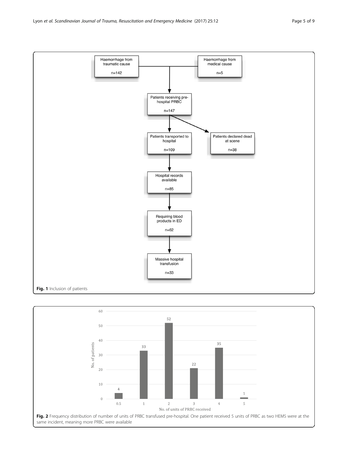<span id="page-5-0"></span>

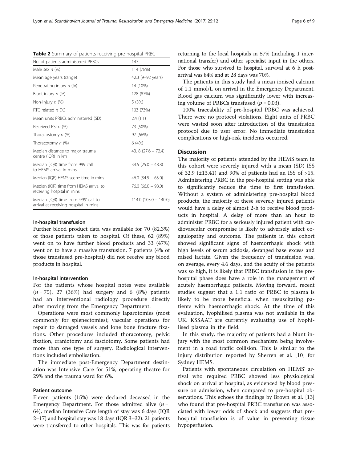<span id="page-6-0"></span>Table 2 Summary of patients receiving pre-hospital PRBC

| No. of patients administered PRBCs                                            | 147                    |  |
|-------------------------------------------------------------------------------|------------------------|--|
| Male sex $n$ (%)                                                              | 114 (78%)              |  |
| Mean age years (range)                                                        | 42.3 (9-92 years)      |  |
| Penetrating injury n (%)                                                      | 14 (10%)               |  |
| Blunt injury n (%)                                                            | 128 (87%)              |  |
| Non-injury $n$ (%)                                                            | 5(3%)                  |  |
| RTC related $n$ (%)                                                           | 103 (73%)              |  |
| Mean units PRBCs administered (SD)                                            | 2.4(1.1)               |  |
| Received RSI n (%)                                                            | 73 (50%)               |  |
| Thoracostomy n (%)                                                            | 97 (66%)               |  |
| Thoracotomy n (%)                                                             | 6(4%)                  |  |
| Median distance to major trauma<br>centre (IQR) in km                         | 43. $8(27.6 - 72.4)$   |  |
| Median (IOR) time from 999 call<br>to HEMS arrival in mins                    | $34.5(25.0 - 48.8)$    |  |
| Median (IQR) HEMS scene time in mins                                          | $46.0$ (34.5 – 63.0)   |  |
| Median (IOR) time from HEMS arrival to<br>receiving hospital in mins          | $76.0$ (66.0 - 98.0)   |  |
| Median (IQR) time from '999' call to<br>arrival at receiving hospital in mins | $114.0(103.0 - 140.0)$ |  |

## In-hospital transfusion

Further blood product data was available for 70 (82.3%) of those patients taken to hospital. Of these, 62 (89%) went on to have further blood products and 33 (47%) went on to have a massive transfusion. 7 patients (4% of those transfused pre-hospital) did not receive any blood products in hospital.

#### In-hospital intervention

For the patients whose hospital notes were available  $(n = 75)$ , 27 (36%) had surgery and 6 (8%) patients had an interventional radiology procedure directly after moving from the Emergency Department.

Operations were most commonly laparotomies (most commonly for splenectomies); vascular operations for repair to damaged vessels and lone bone fracture fixations. Other procedures included thoracotomy, pelvic fixation, craniotomy and fasciotomy. Some patients had more than one type of surgery. Radiological interventions included embolisation.

The immediate post-Emergency Department destination was Intensive Care for 51%, operating theatre for 29% and the trauma ward for 6%.

#### Patient outcome

Eleven patients (15%) were declared deceased in the Emergency Department. For those admitted alive  $(n =$ 64), median Intensive Care length of stay was 6 days (IQR 2–17) and hospital stay was 18 days (IQR 3–32). 21 patients were transferred to other hospitals. This was for patients

returning to the local hospitals in 57% (including 1 international transfer) and other specialist input in the others. For those who survived to hospital, survival at 6 h postarrival was 84% and at 28 days was 70%.

The patients in this study had a mean ionised calcium of 1.1 mmol/L on arrival in the Emergency Department. Blood gas calcium was significantly lower with increasing volume of PRBCs transfused ( $p = 0.03$ ).

100% traceability of pre-hospital PRBC was achieved. There were no protocol violations. Eight units of PRBC were wasted soon after introduction of the transfusion protocol due to user error. No immediate transfusion complications or high-risk incidents occurred.

# Discussion

The majority of patients attended by the HEMS team in this cohort were severely injured with a mean (SD) ISS of 32.9 ( $\pm$ 13.41) and 90% of patients had an ISS of >15. Administering PRBC in the pre-hospital setting was able to significantly reduce the time to first transfusion. Without a system of administering pre-hospital blood products, the majority of these severely injured patients would have a delay of almost 2-h to receive blood products in hospital. A delay of more than an hour to administer PRBC for a seriously injured patient with cardiovascular compromise is likely to adversely affect coagulopathy and outcome. The patients in this cohort showed significant signs of haemorrhagic shock with high levels of serum acidosis, deranged base excess and raised lactate. Given the frequency of transfusion was, on average, every 4.6 days, and the acuity of the patients was so high, it is likely that PRBC transfusion in the prehospital phase does have a role in the management of acutely haemorrhagic patients. Moving forward, recent studies suggest that a 1:1 ratio of PRBC to plasma is likely to be more beneficial when resuscitating patients with haemorrhagic shock. At the time of this evaluation, lyophilised plasma was not available in the UK. KSSAAT are currently evaluating use of lyophilised plasma in the field.

In this study, the majority of patients had a blunt injury with the most common mechanism being involvement in a road traffic collision. This is similar to the injury distribution reported by Sherren et al. [[10\]](#page-9-0) for Sydney HEMS.

Patients with spontaneous circulation on HEMS' arrival who required PRBC showed less physiological shock on arrival at hospital, as evidenced by blood pressure on admission, when compared to pre-hospital observations. This echoes the findings by Brown et al. [[13](#page-9-0)] who found that pre-hospital PRBC transfusion was associated with lower odds of shock and suggests that prehospital transfusion is of value in preventing tissue hypoperfusion.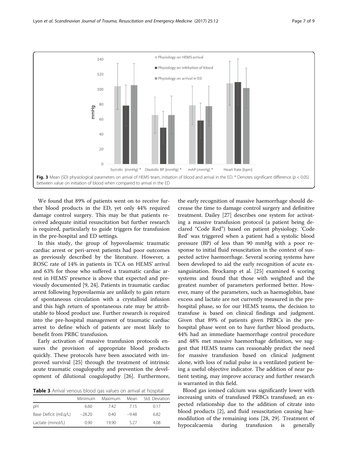<span id="page-7-0"></span>

We found that 89% of patients went on to receive further blood products in the ED, yet only 44% required damage control surgery. This may be that patients received adequate initial resuscitation but further research is required, particularly to guide triggers for transfusion in the pre-hospital and ED settings.

In this study, the group of hypovolaemic traumatic cardiac arrest or peri-arrest patients had poor outcomes as previously described by the literature. However, a ROSC rate of 14% in patients in TCA on HEMS' arrival and 63% for those who suffered a traumatic cardiac arrest in HEMS' presence is above that expected and previously documented [[9,](#page-8-0) [24\]](#page-9-0). Patients in traumatic cardiac arrest following hypovolaemia are unlikely to gain return of spontaneous circulation with a crystalloid infusion and this high return of spontaneous rate may be attributable to blood product use. Further research is required into the pre-hospital management of traumatic cardiac arrest to define which of patients are most likely to benefit from PRBC transfusion.

Early activation of massive transfusion protocols ensures the provision of appropriate blood products quickly. These protocols have been associated with improved survival [\[25](#page-9-0)] through the treatment of intrinsic acute traumatic coagulopathy and prevention the development of dilutional coagulopathy [\[26](#page-9-0)]. Furthermore,

Table 3 Arrival venous blood gas values on arrival at hospital

|                      | Minimum  | <b>Maximum</b> | Mean   | Std. Deviation |
|----------------------|----------|----------------|--------|----------------|
| pH                   | 6.60     | 742            | 715    | 0.17           |
| Base Deficit (mEg/L) | $-28.20$ | 0.40           | $-948$ | 6.82           |
| Lactate (mmol/L)     | 0.90     | 1990           | 527    | 4.08           |

the early recognition of massive haemorrhage should decrease the time to damage control surgery and definitive treatment. Dailey [[27](#page-9-0)] describes one system for activating a massive transfusion protocol (a patient being declared "Code Red") based on patient physiology. 'Code Red' was triggered when a patient had a systolic blood pressure (BP) of less than 90 mmHg with a poor response to initial fluid resuscitation in the context of suspected active haemorrhage. Several scoring systems have been developed to aid the early recognition of acute exsanguination. Brockamp et al. [\[25](#page-9-0)] examined 6 scoring systems and found that those with weighted and the greatest number of parameters performed better. However, many of the parameters, such as haemoglobin, base excess and lactate are not currently measured in the prehospital phase, so for our HEMS teams, the decision to transfuse is based on clinical findings and judgment. Given that 89% of patients given PRBCs in the prehospital phase went on to have further blood products, 44% had an immediate haemorrhage control procedure and 48% met massive haemorrhage definition, we suggest that HEMS teams can reasonably predict the need for massive transfusion based on clinical judgment alone, with loss of radial pulse in a ventilated patient being a useful objective indicator. The addition of near patient testing, may improve accuracy and further research is warranted in this field.

Blood gas ionised calcium was significantly lower with increasing units of transfused PRBCs transfused; an expected relationship due to the addition of citrate into blood products [[2\]](#page-8-0), and fluid resuscitation causing haemodilution of the remaining ions [[28](#page-9-0), [29\]](#page-9-0). Treatment of hypocalcaemia during transfusion is generally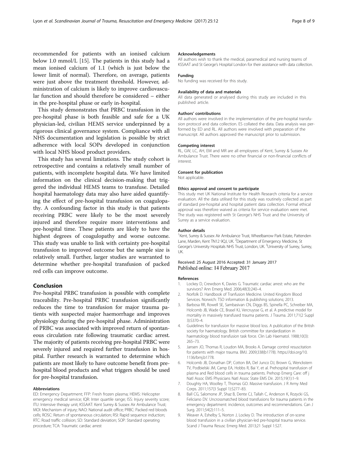<span id="page-8-0"></span>recommended for patients with an ionised calcium below 1.0 mmol/L [\[15](#page-9-0)]. The patients in this study had a mean ionised calcium of 1.1 (which is just below the lower limit of normal). Therefore, on average, patients were just above the treatment threshold. However, administration of calcium is likely to improve cardiovascular function and should therefore be considered – either in the pre-hospital phase or early in-hospital.

This study demonstrates that PRBC transfusion in the pre-hospital phase is both feasible and safe for a UK physician-led, civilian HEMS service underpinned by a rigorous clinical governance system. Compliance with all NHS documentation and legislation is possible by strict adherence with local SOPs developed in conjunction with local NHS blood product providers.

This study has several limitations. The study cohort is retrospective and contains a relatively small number of patients, with incomplete hospital data. We have limited information on the clinical decision-making that triggered the individual HEMS teams to transfuse. Detailed hospital haematology data may also have aided quantifying the effect of pre-hospital transfusion on coagulopathy. A confounding factor in this study is that patients receiving PRBC were likely to be the most severely injured and therefore require more interventions and pre-hospital time. These patients are likely to have the highest degrees of coagulopathy and worse outcome. This study was unable to link with certainty pre-hospital transfusion to improved outcome but the sample size is relatively small. Further, larger studies are warranted to determine whether pre-hospital transfusion of packed red cells can improve outcome.

#### Conclusion

Pre-hospital PRBC transfusion is possible with complete traceability. Pre-hospital PRBC transfusion significantly reduces the time to transfusion for major trauma patients with suspected major haemorrhage and improves physiology during the pre-hospital phase. Administration of PRBC was associated with improved return of spontaneous circulation rate following traumatic cardiac arrest. The majority of patients receiving pre-hospital PRBC were severely injured and required further transfusion in hospital. Further research is warranted to determine which patients are most likely to have outcome benefit from prehospital blood products and what triggers should be used for pre-hospital transfusion.

#### Abbreviations

ED: Emergency Department; FFP: Fresh frozen plasma; HEMS: Helicopter emergency medical service; IQR: Inter quartile range; ISS: Injury severity score; ITU: Intensive therapy unit; KSSAAT: Kent Surrey & Sussex Air Ambulance Trust; MOI: Mechanism of injury; NAO: National audit office; PRBC: Packed red bloods cells; ROSC: Return of spontaneous circulation; RSI: Rapid sequence induction; RTC: Road traffic collision; SD: Standard deviation; SOP: Standard operating procedure; TCA: Traumatic cardiac arrest

#### Acknowledgements

All authors wish to thank the medical, paramedical and nursing teams of KSSAAT and St George's Hospital London for their assistance with data collection.

#### Funding

No funding was received for this study.

#### Availability of data and materials

All data generated or analysed during this study are included in this published article.

#### Authors' contributions

All authors were involved in the implementation of the pre-hospital transfusion protocol and data collection. ES collated the data. Data analysis was performed by ED and RL. All authors were involved with preparation of the manuscript. All authors approved the manuscript prior to submission.

#### Competing interest

RL, GW, LC, AH, EM and MR are all employees of Kent, Surrey & Sussex Air Ambulance Trust. There were no other financial or non-financial conflicts of interest.

#### Consent for publication

Not applicable.

#### Ethics approval and consent to participate

This study met UK National Institute for Health Research criteria for a service evaluation. All the data utilised for this study was routinely collected as part of standard pre-hospital and hospital patient data collection. Formal ethical approval was therefore waived as criteria for service evaluation were met. The study was registered with St George's NHS Trust and the University of Surrey as a service evaluation.

#### Author details

<sup>1</sup> Kent, Surrey & Sussex Air Ambulance Trust, Wheelbarrow Park Estate, Pattenden Lane, Marden, Kent TN12 9QJ, UK. <sup>2</sup>Department of Emergency Medicine, St George's University Hospitals NHS Trust, London, UK.<sup>3</sup> University of Surrey, Surrey, UK.

#### Received: 25 August 2016 Accepted: 31 January 2017 Published online: 14 February 2017

#### References

- 1. Lockey D, Crewdson K, Davies G. Traumatic cardiac arrest: who are the survivors? Ann Emerg Med. 2006;48(3):240–4.
- 2. Norfolk D. Handbook of Tranfusion Medicine. United Kingdom Blood Services. Norwich: TSO information & publishing solutions; 2013.
- 3. Barbosa RR, Rowell SE, Sambasivan CN, Diggs BS, Spinella PC, Schreiber MA, Holcomb JB, Wade CE, Brasel KJ, Vercruysse G, et al. A predictive model for mortality in massively transfused trauma patients. J Trauma. 2011;71(2 Suppl 3):S370–4.
- 4. Guidelines for transfusion for massive blood loss. A publication of the British society for haematology. British committee for standardization in haematology blood transfusion task force. Clin Lab Haematol. 1988;10(3): 265–73.
- 5. Jansen JO, Thomas R, Loudon MA, Brooks A. Damage control resuscitation for patients with major trauma. BMJ. 2009;338(b1778). https://doi.org[/10.](http://dx.doi.org/10.1136/bmj.b1778) [1136/bmj.b1778.](http://dx.doi.org/10.1136/bmj.b1778)
- 6. Holcomb JB, Donathan DP, Cotton BA, Del Junco DJ, Brown G, Wenckstern TV, Podbielski JM, Camp EA, Hobbs R, Bai Y, et al. Prehospital transfusion of plasma and Red blood cells in trauma patients. Prehosp Emerg Care: off j Natl Assoc EMS Physicians Natl Assoc State EMS Dir. 2015;19(1):1–9.
- 7. Doughty HA, Woolley T, Thomas GO. Massive transfusion. J R Army Med Corps. 2011;157(3 Suppl 1):S277–83.
- 8. Ball CG, Salomone JP, Shaz B, Dente CJ, Tallah C, Anderson K, Rozycki GS, Feliciano DV. Uncrossmatched blood transfusions for trauma patients in the emergency department: incidence, outcomes and recommendations. Can J Surg. 2011;54(2):111–5.
- Weaver A, Eshelby S, Norton J, Lockey D. The introduction of on-scene blood transfusion in a civilian physician-led pre-hospital trauma service. Scand J Trauma Resusc Emerg Med. 2013;21 Suppl 1:S27.